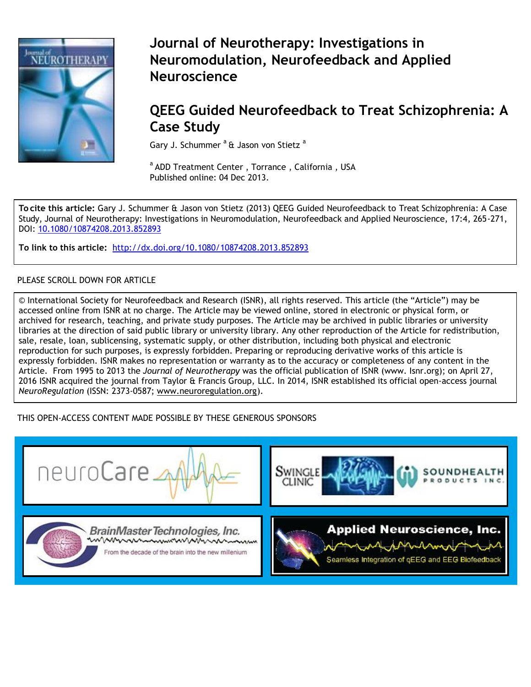

# **Journal of Neurotherapy: Investigations in Neuromodulation, Neurofeedback and Applied Neuroscience**

# **[QEEG Guided Neurofeedba](http://www.tandfonline.com/loi/wneu20)ck to Treat Schizophrenia: A Case Study**

Gary J. Schummer<sup>a</sup> & Jason von Stietz<sup>a</sup>

<sup>a</sup> ADD Treatment Center, Torrance, California, USA Published online: 04 Dec 2013.

**To cite this article:** Gary J. Schummer & Jason von Stietz (2013) QEEG Guided Neurofeedback to Treat Schizophrenia: A Case Study, Journal of Neurotherapy: Investigations in Neuromodulation, Neurofeedback and Applied Neuroscience, 17:4, 265-271, DOI: 10.1080/10874208.2013.852893

**To link to this article:** <http://dx.doi.org/10.1080/10874208.2013.852893>

## PLEASE SCROLL DOWN FOR ARTICLE

© International Society for Neurofeedback and Research (ISNR), all rights reserved. This article (the "Article") may be accessed online from ISNR at no charge. The Article may be viewed online, stored in electronic or physical form, or archived for research, teaching, and private study purposes. The Article may be archived in public libraries or university libraries at the direction of said public library or university library. Any other reproduction of the Article for redistribution, sale, resale, loan, sublicensing, systematic supply, or other distribution, including both physical and electronic reproduction for such purposes, is expressly forbidden. Preparing or reproducing derivative works of this article is expressly forbidden. ISNR makes no representation or warranty as to the accuracy or completeness of any content in the Article. From 1995 to 2013 the *Journal of Neurotherapy* was the official publication of ISNR (www. Isnr.org); on April 27, 2016 ISNR acquired the journal from Taylor & Francis Group, LLC. In 2014, ISNR established its official open-access journal *NeuroRegulation* (ISSN: 2373-0587; [www.neuroregulation.org\)](http://www.neuroregulation.org/).

## THIS OPEN-ACCESS CONTENT MADE POSSIBLE BY THESE GENEROUS SPONSORS

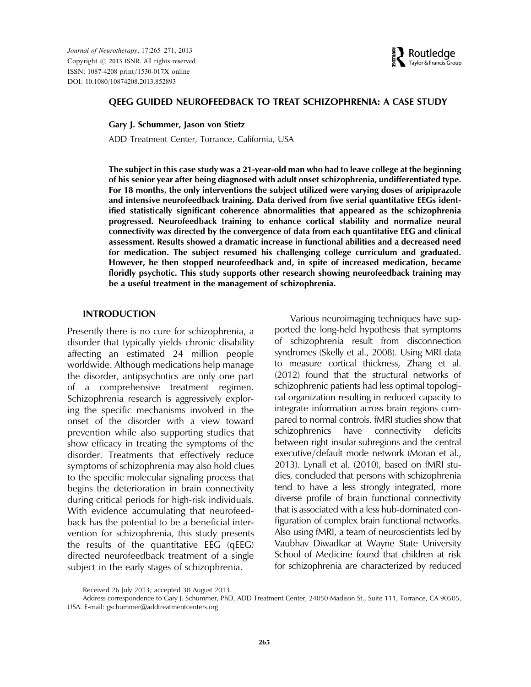Journal of Neurotherapy, 17:265–271, 2013 Copyright  $\oslash$  2013 ISNR. All rights reserved. ISSN: 1087-4208 print/1530-017X online DOI: 10.1080/10874208.2013.852893



#### QEEG GUIDED NEUROFEEDBACK TO TREAT SCHIZOPHRENIA: A CASE STUDY

Gary J. Schummer, Jason von Stietz

ADD Treatment Center, Torrance, California, USA

The subject in this case study was a 21-year-old man who had to leave college at the beginning of his senior year after being diagnosed with adult onset schizophrenia, undifferentiated type. For 18 months, the only interventions the subject utilized were varying doses of aripiprazole and intensive neurofeedback training. Data derived from five serial quantitative EEGs identified statistically significant coherence abnormalities that appeared as the schizophrenia progressed. Neurofeedback training to enhance cortical stability and normalize neural connectivity was directed by the convergence of data from each quantitative EEG and clinical assessment. Results showed a dramatic increase in functional abilities and a decreased need for medication. The subject resumed his challenging college curriculum and graduated. However, he then stopped neurofeedback and, in spite of increased medication, became floridly psychotic. This study supports other research showing neurofeedback training may be a useful treatment in the management of schizophrenia.

#### INTRODUCTION

Presently there is no cure for schizophrenia, a disorder that typically yields chronic disability affecting an estimated 24 million people worldwide. Although medications help manage the disorder, antipsychotics are only one part of a comprehensive treatment regimen. Schizophrenia research is aggressively exploring the specific mechanisms involved in the onset of the disorder with a view toward prevention while also supporting studies that show efficacy in treating the symptoms of the disorder. Treatments that effectively reduce symptoms of schizophrenia may also hold clues to the specific molecular signaling process that begins the deterioration in brain connectivity during critical periods for high-risk individuals. With evidence accumulating that neurofeedback has the potential to be a beneficial intervention for schizophrenia, this study presents the results of the quantitative EEG (qEEG) directed neurofeedback treatment of a single subject in the early stages of schizophrenia.

Various neuroimaging techniques have supported the long-held hypothesis that symptoms of schizophrenia result from disconnection syndromes (Skelly et al., 2008). Using MRI data to measure cortical thickness, Zhang et al. (2012) found that the structural networks of schizophrenic patients had less optimal topological organization resulting in reduced capacity to integrate information across brain regions compared to normal controls. fMRI studies show that schizophrenics have connectivity deficits between right insular subregions and the central executive/default mode network (Moran et al., 2013). Lynall et al. (2010), based on fMRI studies, concluded that persons with schizophrenia tend to have a less strongly integrated, more diverse profile of brain functional connectivity that is associated with a less hub-dominated configuration of complex brain functional networks. Also using fMRI, a team of neuroscientists led by Vaubhav Diwadkar at Wayne State University School of Medicine found that children at risk for schizophrenia are characterized by reduced

Received 26 July 2013; accepted 30 August 2013.

Address correspondence to Gary J. Schummer, PhD, ADD Treatment Center, 24050 Madison St., Suite 111, Torrance, CA 90505, USA. E-mail: gschummer@addtreatmentcenters.org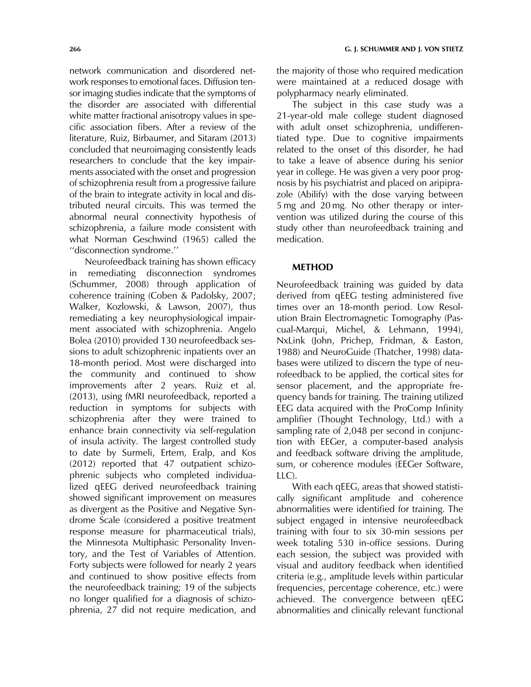network communication and disordered network responses to emotional faces. Diffusion tensor imaging studies indicate that the symptoms of the disorder are associated with differential white matter fractional anisotropy values in specific association fibers. After a review of the literature, Ruiz, Birbaumer, and Sitaram (2013) concluded that neuroimaging consistently leads researchers to conclude that the key impairments associated with the onset and progression of schizophrenia result from a progressive failure of the brain to integrate activity in local and distributed neural circuits. This was termed the abnormal neural connectivity hypothesis of schizophrenia, a failure mode consistent with what Norman Geschwind (1965) called the ''disconnection syndrome.''

Neurofeedback training has shown efficacy in remediating disconnection syndromes (Schummer, 2008) through application of coherence training (Coben & Padolsky, 2007; Walker, Kozlowski, & Lawson, 2007), thus remediating a key neurophysiological impairment associated with schizophrenia. Angelo Bolea (2010) provided 130 neurofeedback sessions to adult schizophrenic inpatients over an 18-month period. Most were discharged into the community and continued to show improvements after 2 years. Ruiz et al. (2013), using fMRI neurofeedback, reported a reduction in symptoms for subjects with schizophrenia after they were trained to enhance brain connectivity via self-regulation of insula activity. The largest controlled study to date by Surmeli, Ertem, Eralp, and Kos (2012) reported that 47 outpatient schizophrenic subjects who completed individualized qEEG derived neurofeedback training showed significant improvement on measures as divergent as the Positive and Negative Syndrome Scale (considered a positive treatment response measure for pharmaceutical trials), the Minnesota Multiphasic Personality Inventory, and the Test of Variables of Attention. Forty subjects were followed for nearly 2 years and continued to show positive effects from the neurofeedback training; 19 of the subjects no longer qualified for a diagnosis of schizophrenia, 27 did not require medication, and the majority of those who required medication were maintained at a reduced dosage with polypharmacy nearly eliminated.

The subject in this case study was a 21-year-old male college student diagnosed with adult onset schizophrenia, undifferentiated type. Due to cognitive impairments related to the onset of this disorder, he had to take a leave of absence during his senior year in college. He was given a very poor prognosis by his psychiatrist and placed on aripiprazole (Abilify) with the dose varying between 5 mg and 20 mg. No other therapy or intervention was utilized during the course of this study other than neurofeedback training and medication.

#### METHOD

Neurofeedback training was guided by data derived from qEEG testing administered five times over an 18-month period. Low Resolution Brain Electromagnetic Tomography (Pascual-Marqui, Michel, & Lehmann, 1994), NxLink (John, Prichep, Fridman, & Easton, 1988) and NeuroGuide (Thatcher, 1998) databases were utilized to discern the type of neurofeedback to be applied, the cortical sites for sensor placement, and the appropriate frequency bands for training. The training utilized EEG data acquired with the ProComp Infinity amplifier (Thought Technology, Ltd.) with a sampling rate of 2,048 per second in conjunction with EEGer, a computer-based analysis and feedback software driving the amplitude, sum, or coherence modules (EEGer Software, LLC).

With each qEEG, areas that showed statistically significant amplitude and coherence abnormalities were identified for training. The subject engaged in intensive neurofeedback training with four to six 30-min sessions per week totaling 530 in-office sessions. During each session, the subject was provided with visual and auditory feedback when identified criteria (e.g., amplitude levels within particular frequencies, percentage coherence, etc.) were achieved. The convergence between qEEG abnormalities and clinically relevant functional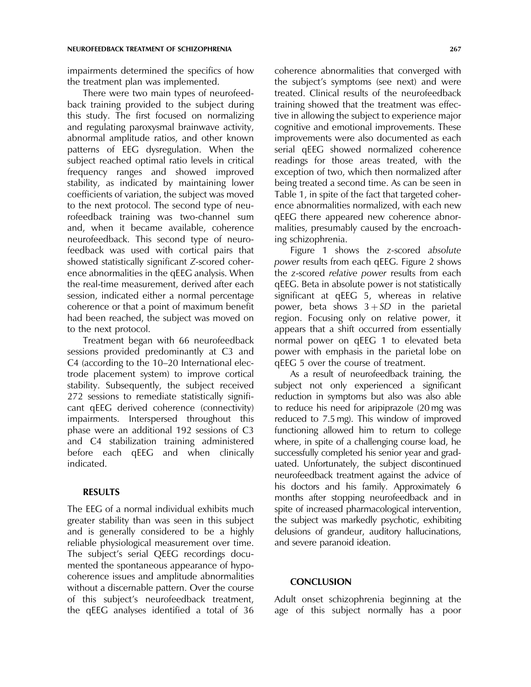impairments determined the specifics of how the treatment plan was implemented.

There were two main types of neurofeedback training provided to the subject during this study. The first focused on normalizing and regulating paroxysmal brainwave activity, abnormal amplitude ratios, and other known patterns of EEG dysregulation. When the subject reached optimal ratio levels in critical frequency ranges and showed improved stability, as indicated by maintaining lower coefficients of variation, the subject was moved to the next protocol. The second type of neurofeedback training was two-channel sum and, when it became available, coherence neurofeedback. This second type of neurofeedback was used with cortical pairs that showed statistically significant Z-scored coherence abnormalities in the qEEG analysis. When the real-time measurement, derived after each session, indicated either a normal percentage coherence or that a point of maximum benefit had been reached, the subject was moved on to the next protocol.

Treatment began with 66 neurofeedback sessions provided predominantly at C3 and C4 (according to the 10–20 International electrode placement system) to improve cortical stability. Subsequently, the subject received 272 sessions to remediate statistically significant qEEG derived coherence (connectivity) impairments. Interspersed throughout this phase were an additional 192 sessions of C3 and C4 stabilization training administered before each qEEG and when clinically indicated.

### RESULTS

The EEG of a normal individual exhibits much greater stability than was seen in this subject and is generally considered to be a highly reliable physiological measurement over time. The subject's serial QEEG recordings documented the spontaneous appearance of hypocoherence issues and amplitude abnormalities without a discernable pattern. Over the course of this subject's neurofeedback treatment, the qEEG analyses identified a total of 36 coherence abnormalities that converged with the subject's symptoms (see next) and were treated. Clinical results of the neurofeedback training showed that the treatment was effective in allowing the subject to experience major cognitive and emotional improvements. These improvements were also documented as each serial qEEG showed normalized coherence readings for those areas treated, with the exception of two, which then normalized after being treated a second time. As can be seen in Table 1, in spite of the fact that targeted coherence abnormalities normalized, with each new qEEG there appeared new coherence abnormalities, presumably caused by the encroaching schizophrenia.

Figure 1 shows the z-scored absolute power results from each qEEG. Figure 2 shows the z-scored relative power results from each qEEG. Beta in absolute power is not statistically significant at qEEG 5, whereas in relative power, beta shows  $3 + SD$  in the parietal region. Focusing only on relative power, it appears that a shift occurred from essentially normal power on qEEG 1 to elevated beta power with emphasis in the parietal lobe on qEEG 5 over the course of treatment.

As a result of neurofeedback training, the subject not only experienced a significant reduction in symptoms but also was also able to reduce his need for aripiprazole (20 mg was reduced to 7.5 mg). This window of improved functioning allowed him to return to college where, in spite of a challenging course load, he successfully completed his senior year and graduated. Unfortunately, the subject discontinued neurofeedback treatment against the advice of his doctors and his family. Approximately 6 months after stopping neurofeedback and in spite of increased pharmacological intervention, the subject was markedly psychotic, exhibiting delusions of grandeur, auditory hallucinations, and severe paranoid ideation.

#### **CONCLUSION**

Adult onset schizophrenia beginning at the age of this subject normally has a poor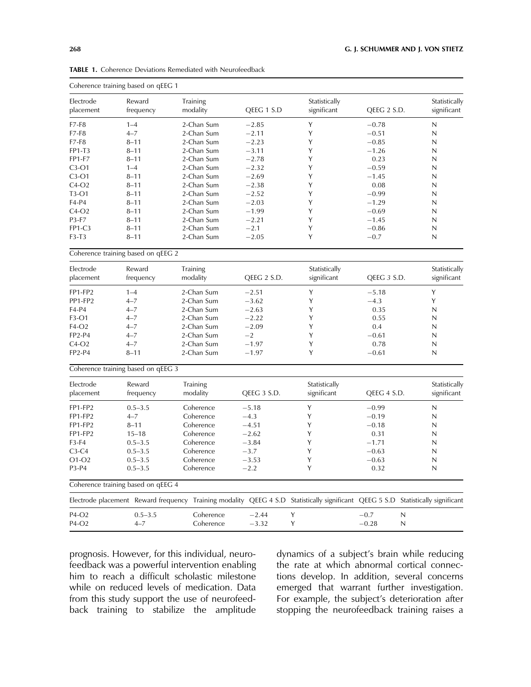| Electrode<br>placement | Reward<br>frequency                | <b>Training</b><br>modality                                                                                                      | QEEG 1 S.D   | Statistically<br>significant | QEEG 2 S.D.  | Statistically<br>significant |
|------------------------|------------------------------------|----------------------------------------------------------------------------------------------------------------------------------|--------------|------------------------------|--------------|------------------------------|
| $F7-F8$                | $1 - 4$                            | 2-Chan Sum                                                                                                                       | $-2.85$      | Y                            | $-0.78$      | N                            |
| $F7-F8$                | $4 - 7$                            | 2-Chan Sum                                                                                                                       | $-2.11$      | Υ                            | $-0.51$      | $\mathsf{N}$                 |
| $F7-F8$                | $8 - 11$                           | 2-Chan Sum                                                                                                                       | $-2.23$      | Υ                            | $-0.85$      | N                            |
| FP1-T3                 | $8 - 11$                           | 2-Chan Sum                                                                                                                       | $-3.11$      | Υ                            | $-1.26$      | N                            |
| <b>FP1-F7</b>          | $8 - 11$                           | 2-Chan Sum                                                                                                                       | $-2.78$      | Y                            | 0.23         | N                            |
| $C3-O1$                | $1 - 4$                            | 2-Chan Sum                                                                                                                       | $-2.32$      | Y                            | $-0.59$      | N                            |
| $C3-O1$                | $8 - 11$                           | 2-Chan Sum                                                                                                                       | $-2.69$      | Y                            | $-1.45$      | N                            |
| $C4-O2$                | $8 - 11$                           | 2-Chan Sum                                                                                                                       | $-2.38$      | Y                            | 0.08         | N                            |
| $T3-O1$                | $8 - 11$                           | 2-Chan Sum                                                                                                                       | $-2.52$      | Y                            | $-0.99$      | N                            |
| F4-P4                  | $8 - 11$                           | 2-Chan Sum                                                                                                                       | $-2.03$      | Y                            | $-1.29$      | N                            |
| $C4-O2$                | $8 - 11$                           | 2-Chan Sum                                                                                                                       | $-1.99$      | Y                            | $-0.69$      | N                            |
| P3-F7                  | $8 - 11$                           | 2-Chan Sum                                                                                                                       | $-2.21$      | Y                            | $-1.45$      | N                            |
| <b>FP1-C3</b>          | $8 - 11$                           | 2-Chan Sum                                                                                                                       | $-2.1$       | Υ                            | $-0.86$      | N                            |
| $F3-T3$                | $8 - 11$                           | 2-Chan Sum                                                                                                                       | $-2.05$      | Y                            | $-0.7$       | N                            |
|                        | Coherence training based on qEEG 2 |                                                                                                                                  |              |                              |              |                              |
| Electrode              | Reward                             | Training                                                                                                                         |              | Statistically                |              | Statistically                |
| placement              | frequency                          | modality                                                                                                                         | QEEG 2 S.D.  | significant                  | QEEG 3 S.D.  | significant                  |
| FP1-FP2                | $1 - 4$                            | 2-Chan Sum                                                                                                                       | $-2.51$      | Y                            | $-5.18$      | Y                            |
| PP1-FP2                | $4 - 7$                            | 2-Chan Sum                                                                                                                       | $-3.62$      | Y                            | $-4.3$       | Y                            |
| F4-P4                  | $4 - 7$                            | 2-Chan Sum                                                                                                                       | $-2.63$      | Υ                            | 0.35         | N                            |
| F3-O1                  | $4 - 7$                            | 2-Chan Sum                                                                                                                       | $-2.22$      | Y                            | 0.55         | N                            |
| $F4-O2$                | $4 - 7$                            | 2-Chan Sum                                                                                                                       | $-2.09$      | Y                            | 0.4          | N                            |
| <b>FP2-P4</b>          | $4 - 7$                            | 2-Chan Sum                                                                                                                       | $-2$         | Y                            | $-0.61$      | N                            |
| $C4-O2$                | $4 - 7$                            | 2-Chan Sum                                                                                                                       | $-1.97$      | Υ                            | 0.78         | $\mathsf{N}$                 |
| <b>FP2-P4</b>          | $8 - 11$                           | 2-Chan Sum                                                                                                                       | $-1.97$      | Y                            | $-0.61$      | N                            |
|                        | Coherence training based on qEEG 3 |                                                                                                                                  |              |                              |              |                              |
| Electrode              | Reward                             | Training                                                                                                                         |              | Statistically                |              | Statistically                |
| placement              | frequency                          | modality                                                                                                                         | QEEG 3 S.D.  | significant                  | QEEG 4 S.D.  | significant                  |
| FP1-FP2                | $0.5 - 3.5$                        | Coherence                                                                                                                        | $-5.18$      | Y                            | $-0.99$      | N                            |
| FP1-FP2                | $4 - 7$                            | Coherence                                                                                                                        | $-4.3$       | Y                            | $-0.19$      | N                            |
| FP1-FP2                | $8 - 11$                           | Coherence                                                                                                                        | $-4.51$      | Y                            | $-0.18$      | N                            |
| FP1-FP2                | $15 - 18$                          | Coherence                                                                                                                        | $-2.62$      | Υ                            | 0.31         | N                            |
| F3-F4                  | $0.5 - 3.5$                        | Coherence                                                                                                                        | $-3.84$      | Y                            | $-1.71$      | N                            |
| $C3-C4$                | $0.5 - 3.5$                        | Coherence                                                                                                                        | $-3.7$       | Υ                            | $-0.63$      | N                            |
| $O1-O2$                | $0.5 - 3.5$                        | Coherence                                                                                                                        | $-3.53$      | Υ                            | $-0.63$      | N                            |
| P3-P4                  | $0.5 - 3.5$                        | Coherence                                                                                                                        | $-2.2$       | Y                            | 0.32         | N                            |
|                        | Coherence training based on qEEG 4 |                                                                                                                                  |              |                              |              |                              |
|                        |                                    | Electrode placement Reward frequency Training modality QEEG 4 S.D Statistically significant QEEG 5 S.D Statistically significant |              |                              |              |                              |
| P4-O2                  | $0.5 - 3.5$                        | Coherence                                                                                                                        | Υ<br>$-2.44$ |                              | $-0.7$<br>N  |                              |
| P4-O2                  | $4 - 7$                            | Coherence                                                                                                                        | $-3.32$<br>Υ |                              | $-0.28$<br>N |                              |

TABLE 1. Coherence Deviations Remediated with Neurofeedback

Coherence training based on qEEG 1

prognosis. However, for this individual, neurofeedback was a powerful intervention enabling him to reach a difficult scholastic milestone while on reduced levels of medication. Data from this study support the use of neurofeedback training to stabilize the amplitude

dynamics of a subject's brain while reducing the rate at which abnormal cortical connections develop. In addition, several concerns emerged that warrant further investigation. For example, the subject's deterioration after stopping the neurofeedback training raises a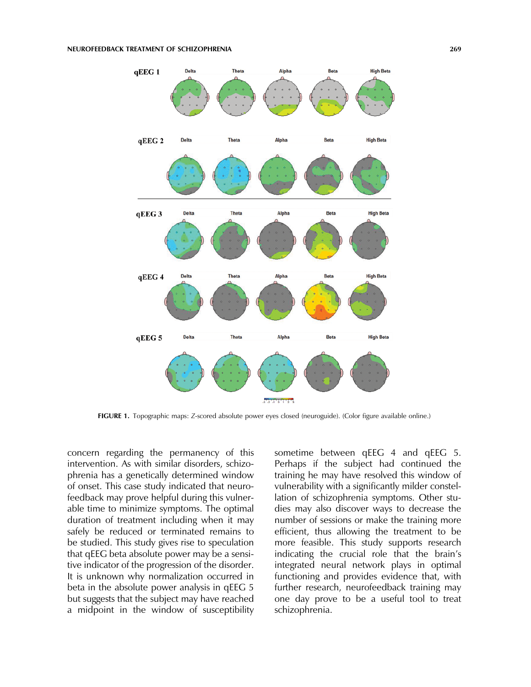#### NEUROFEEDBACK TREATMENT OF SCHIZOPHRENIA 269



FIGURE 1. Topographic maps: Z-scored absolute power eyes closed (neuroguide). (Color figure available online.)

concern regarding the permanency of this intervention. As with similar disorders, schizophrenia has a genetically determined window of onset. This case study indicated that neurofeedback may prove helpful during this vulnerable time to minimize symptoms. The optimal duration of treatment including when it may safely be reduced or terminated remains to be studied. This study gives rise to speculation that qEEG beta absolute power may be a sensitive indicator of the progression of the disorder. It is unknown why normalization occurred in beta in the absolute power analysis in qEEG 5 but suggests that the subject may have reached a midpoint in the window of susceptibility sometime between qEEG 4 and qEEG 5. Perhaps if the subject had continued the training he may have resolved this window of vulnerability with a significantly milder constellation of schizophrenia symptoms. Other studies may also discover ways to decrease the number of sessions or make the training more efficient, thus allowing the treatment to be more feasible. This study supports research indicating the crucial role that the brain's integrated neural network plays in optimal functioning and provides evidence that, with further research, neurofeedback training may one day prove to be a useful tool to treat schizophrenia.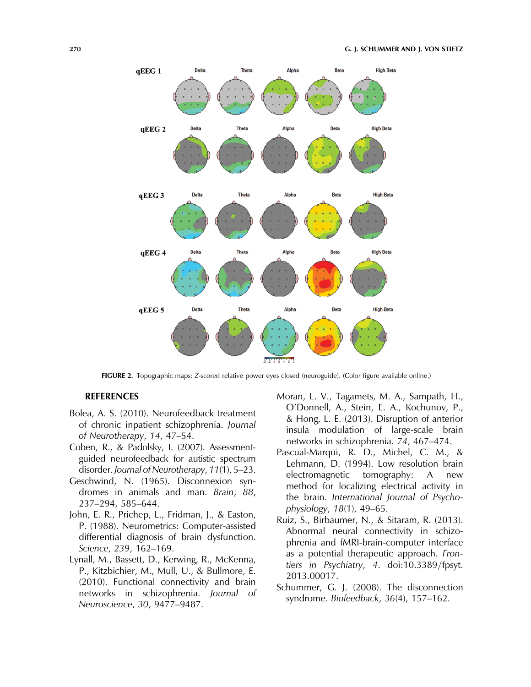

FIGURE 2. Topographic maps: Z-scored relative power eyes closed (neuroguide). (Color figure available online.)

### REFERENCES

- Bolea, A. S. (2010). Neurofeedback treatment of chronic inpatient schizophrenia. Journal of Neurotherapy, 14, 47–54.
- Coben, R., & Padolsky, I. (2007). Assessmentguided neurofeedback for autistic spectrum disorder. Journal of Neurotherapy, 11(1), 5–23.
- Geschwind, N. (1965). Disconnexion syndromes in animals and man. Brain, 88, 237–294, 585–644.
- John, E. R., Prichep, L., Fridman, J., & Easton, P. (1988). Neurometrics: Computer-assisted differential diagnosis of brain dysfunction. Science, 239, 162–169.
- Lynall, M., Bassett, D., Kerwing, R., McKenna, P., Kitzbichier, M., Mull, U., & Bullmore, E. (2010). Functional connectivity and brain networks in schizophrenia. Journal of Neuroscience, 30, 9477–9487.
- Moran, L. V., Tagamets, M. A., Sampath, H., O'Donnell, A., Stein, E. A., Kochunov, P., & Hong, L. E. (2013). Disruption of anterior insula modulation of large-scale brain networks in schizophrenia. 74, 467–474.
- Pascual-Marqui, R. D., Michel, C. M., & Lehmann, D. (1994). Low resolution brain electromagnetic tomography: A new method for localizing electrical activity in the brain. International Journal of Psychophysiology, 18(1), 49–65.
- Ruiz, S., Birbaumer, N., & Sitaram, R. (2013). Abnormal neural connectivity in schizophrenia and fMRI-brain-computer interface as a potential therapeutic approach. Frontiers in Psychiatry, 4. doi:10.3389/fpsyt. 2013.00017.
- Schummer, G. J. (2008). The disconnection syndrome. Biofeedback, 36(4), 157–162.